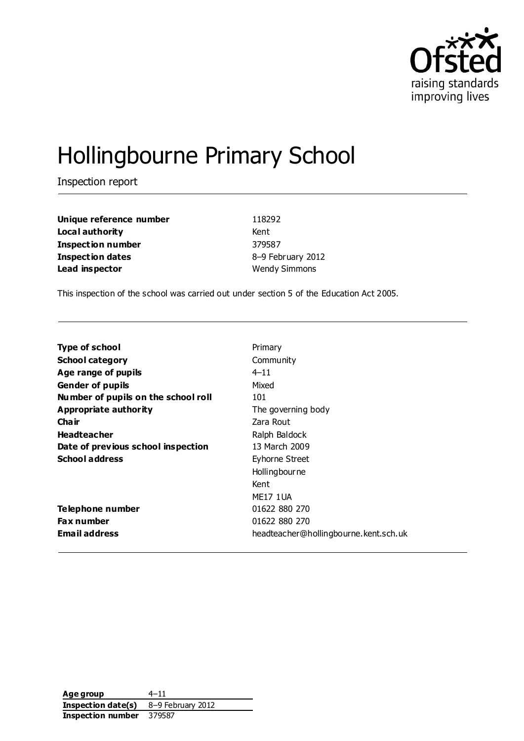

# Hollingbourne Primary School

Inspection report

**Unique reference number** 118292 **Local authority** Kent **Inspection number** 379587 **Inspection dates** 8–9 February 2012 **Lead inspector** Wendy Simmons

This inspection of the school was carried out under section 5 of the Education Act 2005.

| <b>Type of school</b>               | Primary                               |
|-------------------------------------|---------------------------------------|
| <b>School category</b>              | Community                             |
| Age range of pupils                 | $4 - 11$                              |
| <b>Gender of pupils</b>             | Mixed                                 |
| Number of pupils on the school roll | 101                                   |
| Appropriate authority               | The governing body                    |
| Cha ir                              | Zara Rout                             |
| <b>Headteacher</b>                  | Ralph Baldock                         |
| Date of previous school inspection  | 13 March 2009                         |
| <b>School address</b>               | Eyhorne Street                        |
|                                     | Hollingbourne                         |
|                                     | Kent                                  |
|                                     | <b>MF17 1UA</b>                       |
| Telephone number                    | 01622 880 270                         |
| <b>Fax number</b>                   | 01622 880 270                         |
| <b>Email address</b>                | headteacher@hollingbourne.kent.sch.uk |

**Age group** 4–11 **Inspection date(s)** 8–9 February 2012 **Inspection number** 379587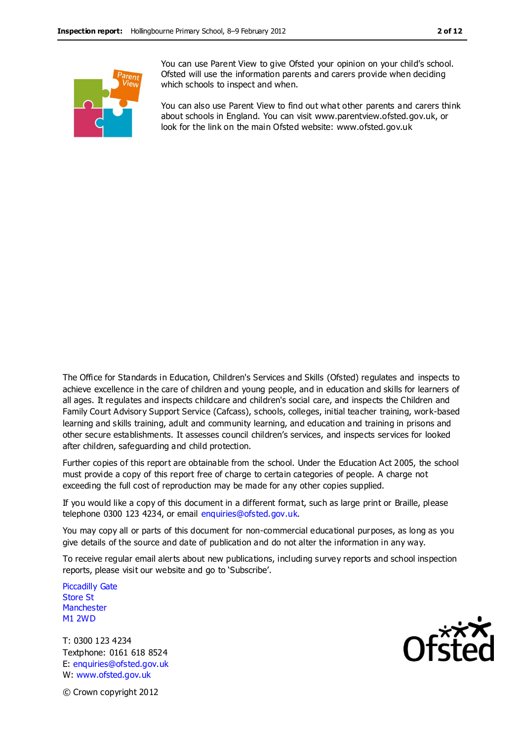

You can use Parent View to give Ofsted your opinion on your child's school. Ofsted will use the information parents and carers provide when deciding which schools to inspect and when.

You can also use Parent View to find out what other parents and carers think about schools in England. You can visit www.parentview.ofsted.gov.uk, or look for the link on the main Ofsted website: www.ofsted.gov.uk

The Office for Standards in Education, Children's Services and Skills (Ofsted) regulates and inspects to achieve excellence in the care of children and young people, and in education and skills for learners of all ages. It regulates and inspects childcare and children's social care, and inspects the Children and Family Court Advisory Support Service (Cafcass), schools, colleges, initial teacher training, work-based learning and skills training, adult and community learning, and education and training in prisons and other secure establishments. It assesses council children's services, and inspects services for looked after children, safeguarding and child protection.

Further copies of this report are obtainable from the school. Under the Education Act 2005, the school must provide a copy of this report free of charge to certain categories of people. A charge not exceeding the full cost of reproduction may be made for any other copies supplied.

If you would like a copy of this document in a different format, such as large print or Braille, please telephone 0300 123 4234, or email enquiries@ofsted.gov.uk.

You may copy all or parts of this document for non-commercial educational purposes, as long as you give details of the source and date of publication and do not alter the information in any way.

To receive regular email alerts about new publications, including survey reports and school inspection reports, please visit our website and go to 'Subscribe'.

Piccadilly Gate Store St **Manchester** M1 2WD

T: 0300 123 4234 Textphone: 0161 618 8524 E: enquiries@ofsted.gov.uk W: www.ofsted.gov.uk



© Crown copyright 2012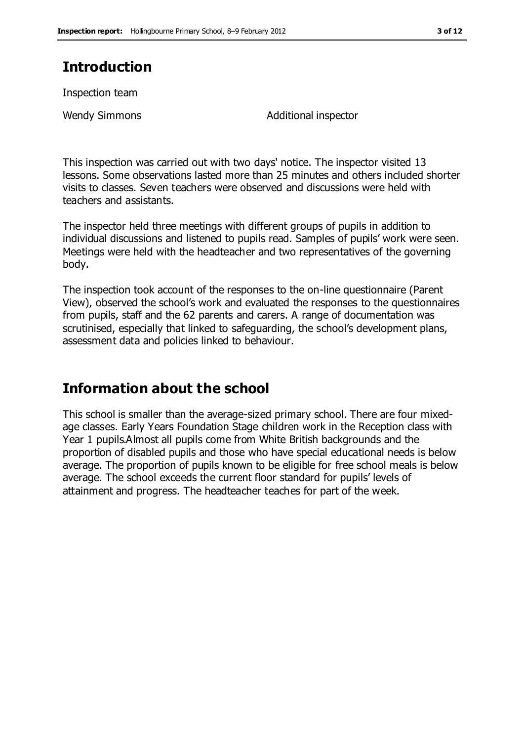# **Introduction**

Inspection team

Wendy Simmons **Additional inspector** 

This inspection was carried out with two days' notice. The inspector visited 13 lessons. Some observations lasted more than 25 minutes and others included shorter visits to classes. Seven teachers were observed and discussions were held with teachers and assistants.

The inspector held three meetings with different groups of pupils in addition to individual discussions and listened to pupils read. Samples of pupils' work were seen. Meetings were held with the headteacher and two representatives of the governing body.

The inspection took account of the responses to the on-line questionnaire (Parent View), observed the school's work and evaluated the responses to the questionnaires from pupils, staff and the 62 parents and carers. A range of documentation was scrutinised, especially that linked to safeguarding, the school's development plans, assessment data and policies linked to behaviour.

# **Information about the school**

This school is smaller than the average-sized primary school. There are four mixedage classes. Early Years Foundation Stage children work in the Reception class with Year 1 pupils.Almost all pupils come from White British backgrounds and the proportion of disabled pupils and those who have special educational needs is below average. The proportion of pupils known to be eligible for free school meals is below average. The school exceeds the current floor standard for pupils' levels of attainment and progress. The headteacher teaches for part of the week.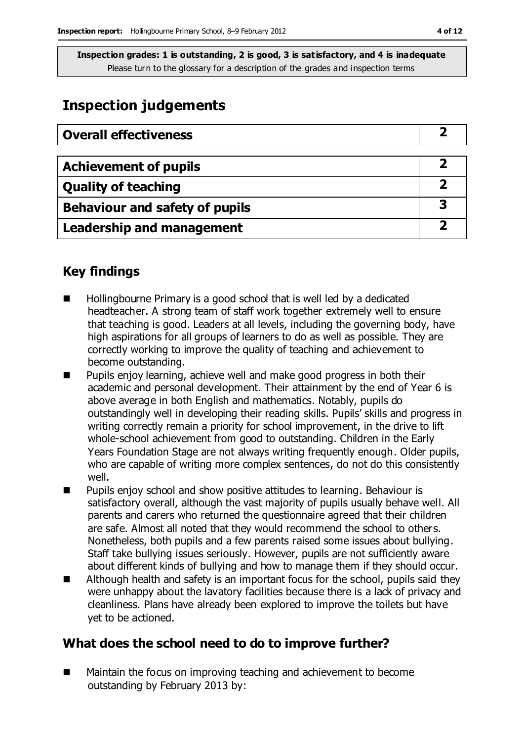## **Inspection judgements**

| <b>Overall effectiveness</b>     |  |
|----------------------------------|--|
|                                  |  |
| <b>Achievement of pupils</b>     |  |
| <b>Quality of teaching</b>       |  |
| Behaviour and safety of pupils   |  |
| <b>Leadership and management</b> |  |

### **Key findings**

- Hollingbourne Primary is a good school that is well led by a dedicated headteacher. A strong team of staff work together extremely well to ensure that teaching is good. Leaders at all levels, including the governing body, have high aspirations for all groups of learners to do as well as possible. They are correctly working to improve the quality of teaching and achievement to become outstanding.
- **Pupils enjoy learning, achieve well and make good progress in both their** academic and personal development. Their attainment by the end of Year 6 is above average in both English and mathematics. Notably, pupils do outstandingly well in developing their reading skills. Pupils' skills and progress in writing correctly remain a priority for school improvement, in the drive to lift whole-school achievement from good to outstanding. Children in the Early Years Foundation Stage are not always writing frequently enough. Older pupils, who are capable of writing more complex sentences, do not do this consistently well.
- Pupils enjoy school and show positive attitudes to learning. Behaviour is satisfactory overall, although the vast majority of pupils usually behave well. All parents and carers who returned the questionnaire agreed that their children are safe. Almost all noted that they would recommend the school to others. Nonetheless, both pupils and a few parents raised some issues about bullying. Staff take bullying issues seriously. However, pupils are not sufficiently aware about different kinds of bullying and how to manage them if they should occur.
- Although health and safety is an important focus for the school, pupils said they were unhappy about the lavatory facilities because there is a lack of privacy and cleanliness. Plans have already been explored to improve the toilets but have yet to be actioned.

### **What does the school need to do to improve further?**

■ Maintain the focus on improving teaching and achievement to become outstanding by February 2013 by: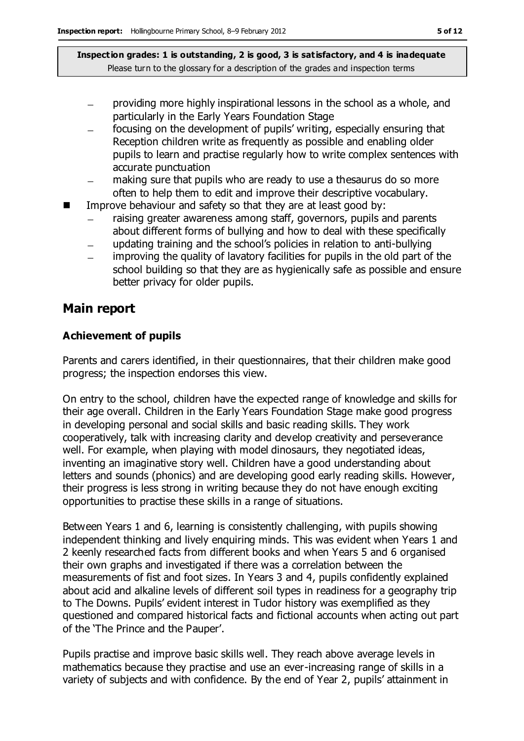- providing more highly inspirational lessons in the school as a whole, and particularly in the Early Years Foundation Stage
- focusing on the development of pupils' writing, especially ensuring that  $\equiv$ Reception children write as frequently as possible and enabling older pupils to learn and practise regularly how to write complex sentences with accurate punctuation
- making sure that pupils who are ready to use a thesaurus do so more often to help them to edit and improve their descriptive vocabulary.
- Improve behaviour and safety so that they are at least good by:
	- raising greater awareness among staff, governors, pupils and parents  $\equiv$ about different forms of bullying and how to deal with these specifically
	- updating training and the school's policies in relation to anti-bullying  $\equiv$
	- improving the quality of lavatory facilities for pupils in the old part of the school building so that they are as hygienically safe as possible and ensure better privacy for older pupils.

#### **Main report**

#### **Achievement of pupils**

Parents and carers identified, in their questionnaires, that their children make good progress; the inspection endorses this view.

On entry to the school, children have the expected range of knowledge and skills for their age overall. Children in the Early Years Foundation Stage make good progress in developing personal and social skills and basic reading skills. They work cooperatively, talk with increasing clarity and develop creativity and perseverance well. For example, when playing with model dinosaurs, they negotiated ideas, inventing an imaginative story well. Children have a good understanding about letters and sounds (phonics) and are developing good early reading skills. However, their progress is less strong in writing because they do not have enough exciting opportunities to practise these skills in a range of situations.

Between Years 1 and 6, learning is consistently challenging, with pupils showing independent thinking and lively enquiring minds. This was evident when Years 1 and 2 keenly researched facts from different books and when Years 5 and 6 organised their own graphs and investigated if there was a correlation between the measurements of fist and foot sizes. In Years 3 and 4, pupils confidently explained about acid and alkaline levels of different soil types in readiness for a geography trip to The Downs. Pupils' evident interest in Tudor history was exemplified as they questioned and compared historical facts and fictional accounts when acting out part of the 'The Prince and the Pauper'.

Pupils practise and improve basic skills well. They reach above average levels in mathematics because they practise and use an ever-increasing range of skills in a variety of subjects and with confidence. By the end of Year 2, pupils' attainment in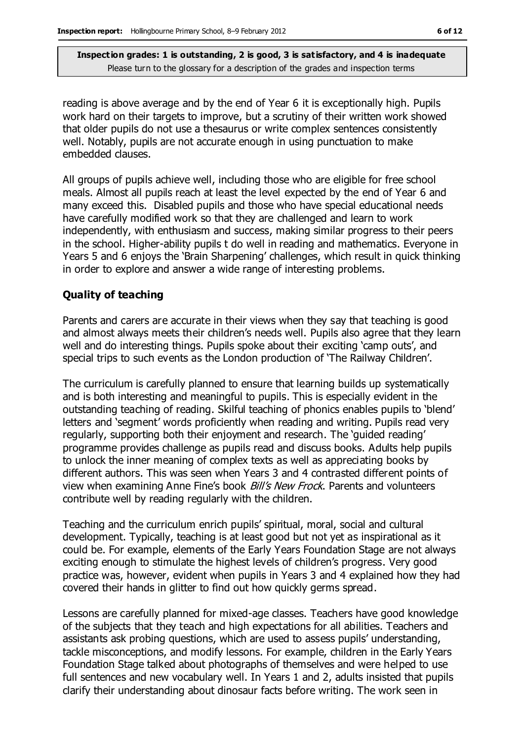reading is above average and by the end of Year 6 it is exceptionally high. Pupils work hard on their targets to improve, but a scrutiny of their written work showed that older pupils do not use a thesaurus or write complex sentences consistently well. Notably, pupils are not accurate enough in using punctuation to make embedded clauses.

All groups of pupils achieve well, including those who are eligible for free school meals. Almost all pupils reach at least the level expected by the end of Year 6 and many exceed this. Disabled pupils and those who have special educational needs have carefully modified work so that they are challenged and learn to work independently, with enthusiasm and success, making similar progress to their peers in the school. Higher-ability pupils t do well in reading and mathematics. Everyone in Years 5 and 6 enjoys the 'Brain Sharpening' challenges, which result in quick thinking in order to explore and answer a wide range of interesting problems.

#### **Quality of teaching**

Parents and carers are accurate in their views when they say that teaching is good and almost always meets their children's needs well. Pupils also agree that they learn well and do interesting things. Pupils spoke about their exciting 'camp outs', and special trips to such events as the London production of 'The Railway Children'.

The curriculum is carefully planned to ensure that learning builds up systematically and is both interesting and meaningful to pupils. This is especially evident in the outstanding teaching of reading. Skilful teaching of phonics enables pupils to 'blend' letters and 'segment' words proficiently when reading and writing. Pupils read very regularly, supporting both their enjoyment and research. The 'guided reading' programme provides challenge as pupils read and discuss books. Adults help pupils to unlock the inner meaning of complex texts as well as appreciating books by different authors. This was seen when Years 3 and 4 contrasted different points of view when examining Anne Fine's book *Bill's New Frock*. Parents and volunteers contribute well by reading regularly with the children.

Teaching and the curriculum enrich pupils' spiritual, moral, social and cultural development. Typically, teaching is at least good but not yet as inspirational as it could be. For example, elements of the Early Years Foundation Stage are not always exciting enough to stimulate the highest levels of children's progress. Very good practice was, however, evident when pupils in Years 3 and 4 explained how they had covered their hands in glitter to find out how quickly germs spread.

Lessons are carefully planned for mixed-age classes. Teachers have good knowledge of the subjects that they teach and high expectations for all abilities. Teachers and assistants ask probing questions, which are used to assess pupils' understanding, tackle misconceptions, and modify lessons. For example, children in the Early Years Foundation Stage talked about photographs of themselves and were helped to use full sentences and new vocabulary well. In Years 1 and 2, adults insisted that pupils clarify their understanding about dinosaur facts before writing. The work seen in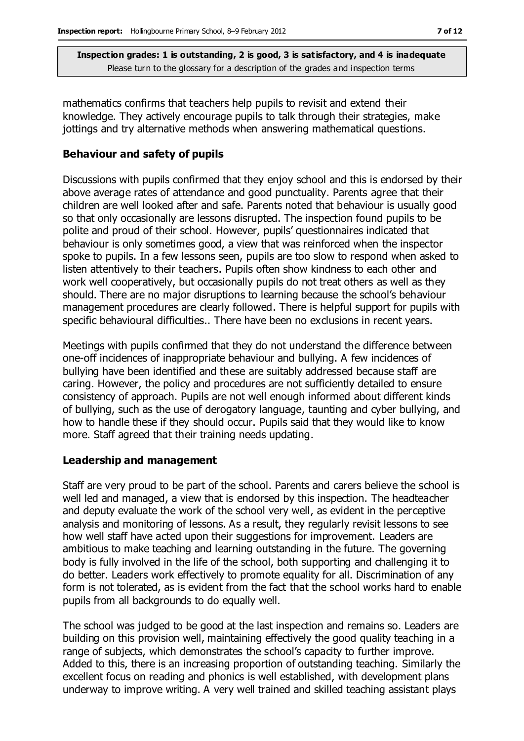mathematics confirms that teachers help pupils to revisit and extend their knowledge. They actively encourage pupils to talk through their strategies, make jottings and try alternative methods when answering mathematical questions.

#### **Behaviour and safety of pupils**

Discussions with pupils confirmed that they enjoy school and this is endorsed by their above average rates of attendance and good punctuality. Parents agree that their children are well looked after and safe. Parents noted that behaviour is usually good so that only occasionally are lessons disrupted. The inspection found pupils to be polite and proud of their school. However, pupils' questionnaires indicated that behaviour is only sometimes good, a view that was reinforced when the inspector spoke to pupils. In a few lessons seen, pupils are too slow to respond when asked to listen attentively to their teachers. Pupils often show kindness to each other and work well cooperatively, but occasionally pupils do not treat others as well as they should. There are no major disruptions to learning because the school's behaviour management procedures are clearly followed. There is helpful support for pupils with specific behavioural difficulties.. There have been no exclusions in recent years.

Meetings with pupils confirmed that they do not understand the difference between one-off incidences of inappropriate behaviour and bullying. A few incidences of bullying have been identified and these are suitably addressed because staff are caring. However, the policy and procedures are not sufficiently detailed to ensure consistency of approach. Pupils are not well enough informed about different kinds of bullying, such as the use of derogatory language, taunting and cyber bullying, and how to handle these if they should occur. Pupils said that they would like to know more. Staff agreed that their training needs updating.

#### **Leadership and management**

Staff are very proud to be part of the school. Parents and carers believe the school is well led and managed, a view that is endorsed by this inspection. The headteacher and deputy evaluate the work of the school very well, as evident in the perceptive analysis and monitoring of lessons. As a result, they regularly revisit lessons to see how well staff have acted upon their suggestions for improvement. Leaders are ambitious to make teaching and learning outstanding in the future. The governing body is fully involved in the life of the school, both supporting and challenging it to do better. Leaders work effectively to promote equality for all. Discrimination of any form is not tolerated, as is evident from the fact that the school works hard to enable pupils from all backgrounds to do equally well.

The school was judged to be good at the last inspection and remains so. Leaders are building on this provision well, maintaining effectively the good quality teaching in a range of subjects, which demonstrates the school's capacity to further improve. Added to this, there is an increasing proportion of outstanding teaching. Similarly the excellent focus on reading and phonics is well established, with development plans underway to improve writing. A very well trained and skilled teaching assistant plays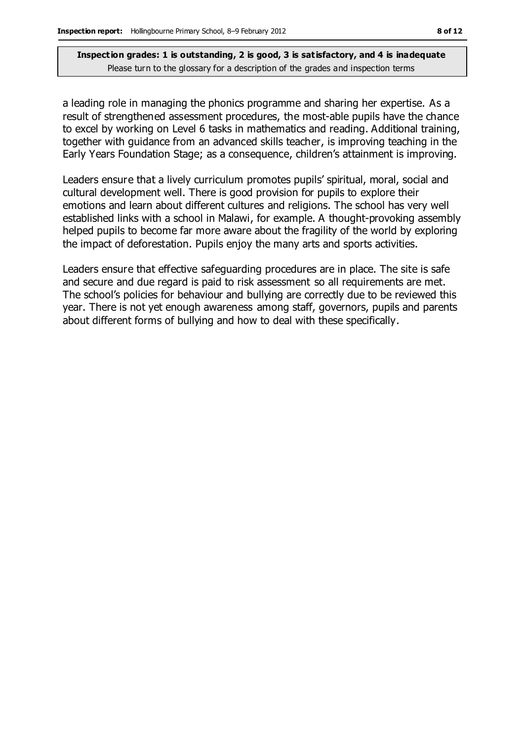a leading role in managing the phonics programme and sharing her expertise. As a result of strengthened assessment procedures, the most-able pupils have the chance to excel by working on Level 6 tasks in mathematics and reading. Additional training, together with guidance from an advanced skills teacher, is improving teaching in the Early Years Foundation Stage; as a consequence, children's attainment is improving.

Leaders ensure that a lively curriculum promotes pupils' spiritual, moral, social and cultural development well. There is good provision for pupils to explore their emotions and learn about different cultures and religions. The school has very well established links with a school in Malawi, for example. A thought-provoking assembly helped pupils to become far more aware about the fragility of the world by exploring the impact of deforestation. Pupils enjoy the many arts and sports activities.

Leaders ensure that effective safeguarding procedures are in place. The site is safe and secure and due regard is paid to risk assessment so all requirements are met. The school's policies for behaviour and bullying are correctly due to be reviewed this year. There is not yet enough awareness among staff, governors, pupils and parents about different forms of bullying and how to deal with these specifically.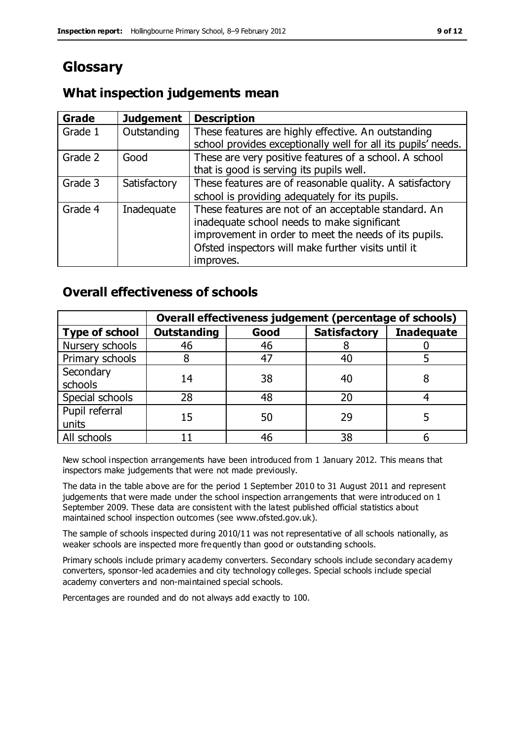# **Glossary**

### **What inspection judgements mean**

| Grade   | <b>Judgement</b> | <b>Description</b>                                            |
|---------|------------------|---------------------------------------------------------------|
| Grade 1 | Outstanding      | These features are highly effective. An outstanding           |
|         |                  | school provides exceptionally well for all its pupils' needs. |
| Grade 2 | Good             | These are very positive features of a school. A school        |
|         |                  | that is good is serving its pupils well.                      |
| Grade 3 | Satisfactory     | These features are of reasonable quality. A satisfactory      |
|         |                  | school is providing adequately for its pupils.                |
| Grade 4 | Inadequate       | These features are not of an acceptable standard. An          |
|         |                  | inadequate school needs to make significant                   |
|         |                  | improvement in order to meet the needs of its pupils.         |
|         |                  | Ofsted inspectors will make further visits until it           |
|         |                  | improves.                                                     |

### **Overall effectiveness of schools**

|                         | Overall effectiveness judgement (percentage of schools) |      |                     |                   |
|-------------------------|---------------------------------------------------------|------|---------------------|-------------------|
| <b>Type of school</b>   | <b>Outstanding</b>                                      | Good | <b>Satisfactory</b> | <b>Inadequate</b> |
| Nursery schools         | 46                                                      | 46   |                     |                   |
| Primary schools         |                                                         | 47   | 40                  |                   |
| Secondary<br>schools    | 14                                                      | 38   | 40                  |                   |
| Special schools         | 28                                                      | 48   | 20                  |                   |
| Pupil referral<br>units | 15                                                      | 50   | 29                  |                   |
| All schools             |                                                         | 46   | 38                  |                   |

New school inspection arrangements have been introduced from 1 January 2012. This means that inspectors make judgements that were not made previously.

The data in the table above are for the period 1 September 2010 to 31 August 2011 and represent judgements that were made under the school inspection arrangements that were introduced on 1 September 2009. These data are consistent with the latest published official statistics about maintained school inspection outcomes (see www.ofsted.gov.uk).

The sample of schools inspected during 2010/11 was not representative of all schools nationally, as weaker schools are inspected more frequently than good or outstanding schools.

Primary schools include primary academy converters. Secondary schools include secondary academy converters, sponsor-led academies and city technology colleges. Special schools include special academy converters and non-maintained special schools.

Percentages are rounded and do not always add exactly to 100.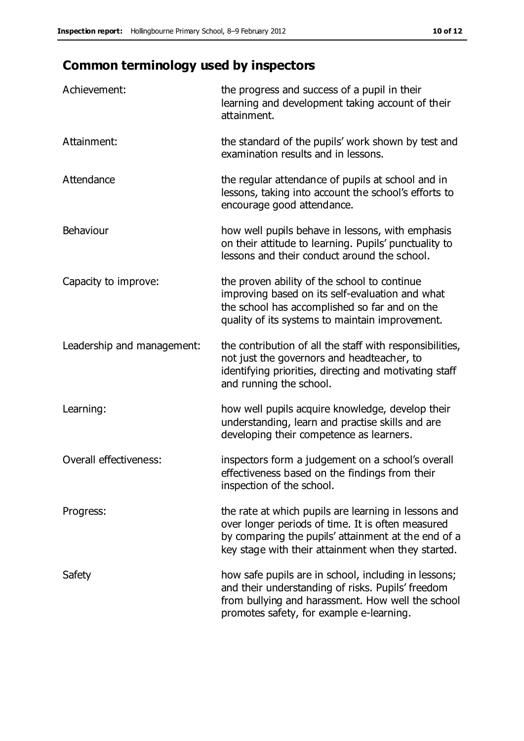# **Common terminology used by inspectors**

| Achievement:               | the progress and success of a pupil in their<br>learning and development taking account of their<br>attainment.                                                                                                        |
|----------------------------|------------------------------------------------------------------------------------------------------------------------------------------------------------------------------------------------------------------------|
| Attainment:                | the standard of the pupils' work shown by test and<br>examination results and in lessons.                                                                                                                              |
| Attendance                 | the regular attendance of pupils at school and in<br>lessons, taking into account the school's efforts to<br>encourage good attendance.                                                                                |
| Behaviour                  | how well pupils behave in lessons, with emphasis<br>on their attitude to learning. Pupils' punctuality to<br>lessons and their conduct around the school.                                                              |
| Capacity to improve:       | the proven ability of the school to continue<br>improving based on its self-evaluation and what<br>the school has accomplished so far and on the<br>quality of its systems to maintain improvement.                    |
| Leadership and management: | the contribution of all the staff with responsibilities,<br>not just the governors and headteacher, to<br>identifying priorities, directing and motivating staff<br>and running the school.                            |
| Learning:                  | how well pupils acquire knowledge, develop their<br>understanding, learn and practise skills and are<br>developing their competence as learners.                                                                       |
| Overall effectiveness:     | inspectors form a judgement on a school's overall<br>effectiveness based on the findings from their<br>inspection of the school.                                                                                       |
| Progress:                  | the rate at which pupils are learning in lessons and<br>over longer periods of time. It is often measured<br>by comparing the pupils' attainment at the end of a<br>key stage with their attainment when they started. |
| Safety                     | how safe pupils are in school, including in lessons;<br>and their understanding of risks. Pupils' freedom<br>from bullying and harassment. How well the school<br>promotes safety, for example e-learning.             |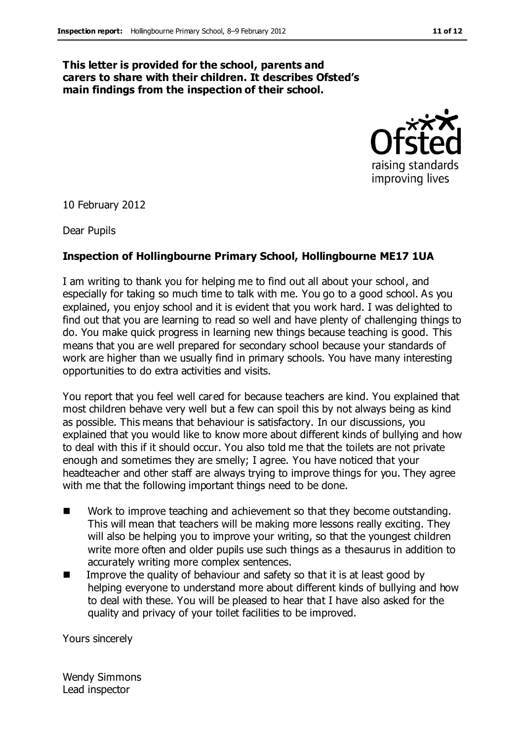#### **This letter is provided for the school, parents and carers to share with their children. It describes Ofsted's main findings from the inspection of their school.**



10 February 2012

Dear Pupils

#### **Inspection of Hollingbourne Primary School, Hollingbourne ME17 1UA**

I am writing to thank you for helping me to find out all about your school, and especially for taking so much time to talk with me. You go to a good school. As you explained, you enjoy school and it is evident that you work hard. I was delighted to find out that you are learning to read so well and have plenty of challenging things to do. You make quick progress in learning new things because teaching is good. This means that you are well prepared for secondary school because your standards of work are higher than we usually find in primary schools. You have many interesting opportunities to do extra activities and visits.

You report that you feel well cared for because teachers are kind. You explained that most children behave very well but a few can spoil this by not always being as kind as possible. This means that behaviour is satisfactory. In our discussions, you explained that you would like to know more about different kinds of bullying and how to deal with this if it should occur. You also told me that the toilets are not private enough and sometimes they are smelly; I agree. You have noticed that your headteacher and other staff are always trying to improve things for you. They agree with me that the following important things need to be done.

- Work to improve teaching and achievement so that they become outstanding. This will mean that teachers will be making more lessons really exciting. They will also be helping you to improve your writing, so that the youngest children write more often and older pupils use such things as a thesaurus in addition to accurately writing more complex sentences.
- Improve the quality of behaviour and safety so that it is at least good by helping everyone to understand more about different kinds of bullying and how to deal with these. You will be pleased to hear that I have also asked for the quality and privacy of your toilet facilities to be improved.

Yours sincerely

Wendy Simmons Lead inspector